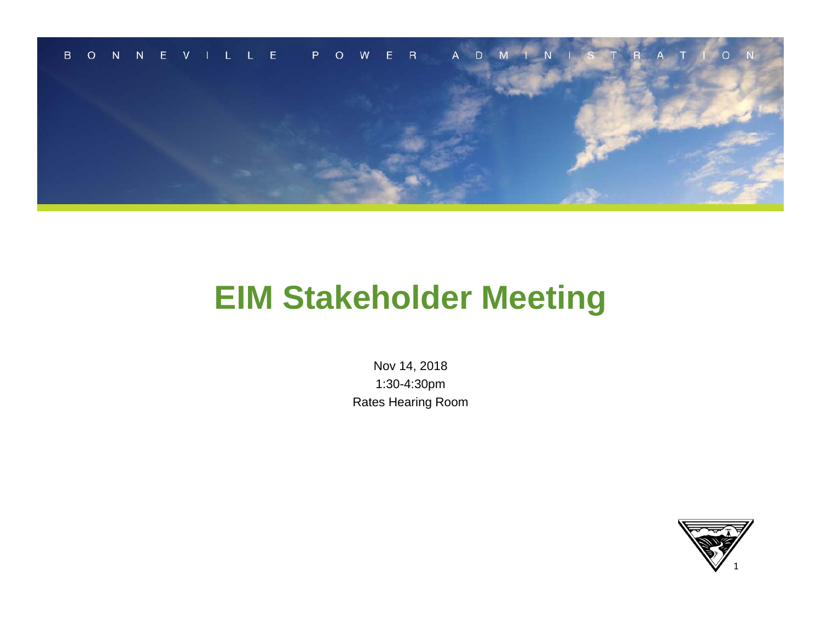

## **EIM Stakeholder Meeting**

Nov 14, 2018 1:30-4:30pm Rates Hearing Room

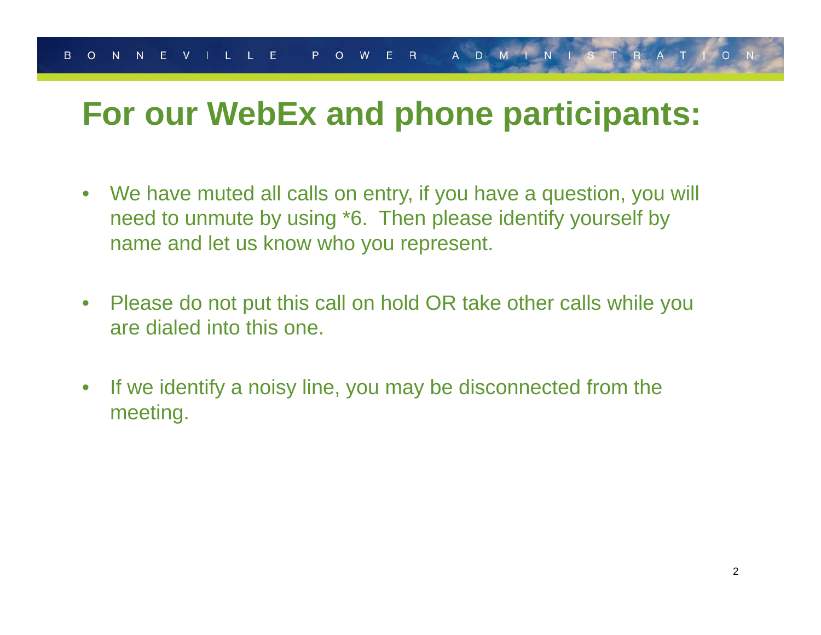## **For our WebEx and phone participants:**

- $\bullet$  We have muted all calls on entry, if you have a question, you will need to unmute by using \*6. Then please identify yourself by name and let us know who you represent.
- $\bullet$  Please do not put this call on hold OR take other calls while you are dialed into this one.
- $\bullet$  If we identify a noisy line, you may be disconnected from the meeting.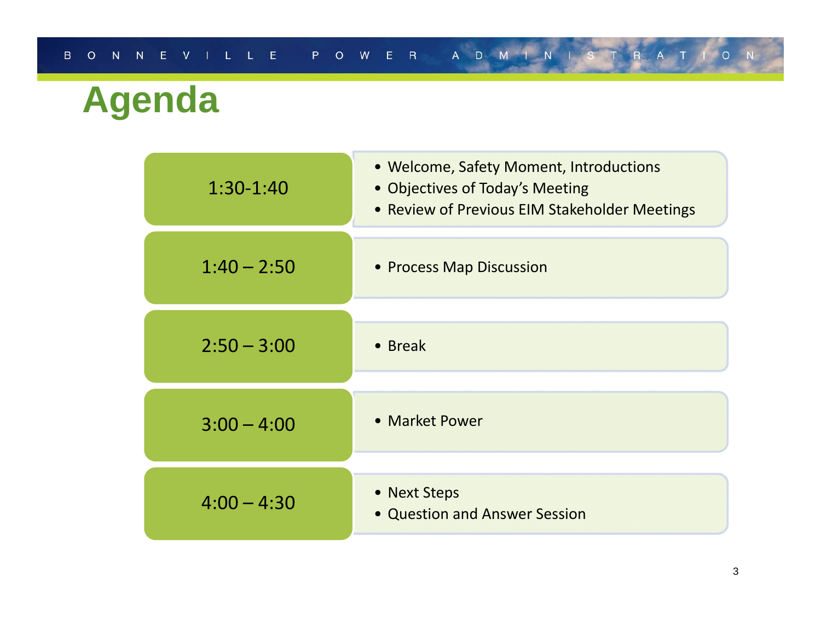# **Agenda**

| $1:30-1:40$   | • Welcome, Safety Moment, Introductions<br>• Objectives of Today's Meeting<br>• Review of Previous EIM Stakeholder Meetings |
|---------------|-----------------------------------------------------------------------------------------------------------------------------|
| $1:40 - 2:50$ | • Process Map Discussion                                                                                                    |
| $2:50 - 3:00$ | • Break                                                                                                                     |
| $3:00 - 4:00$ | • Market Power                                                                                                              |
| $4:00 - 4:30$ | • Next Steps<br>• Question and Answer Session                                                                               |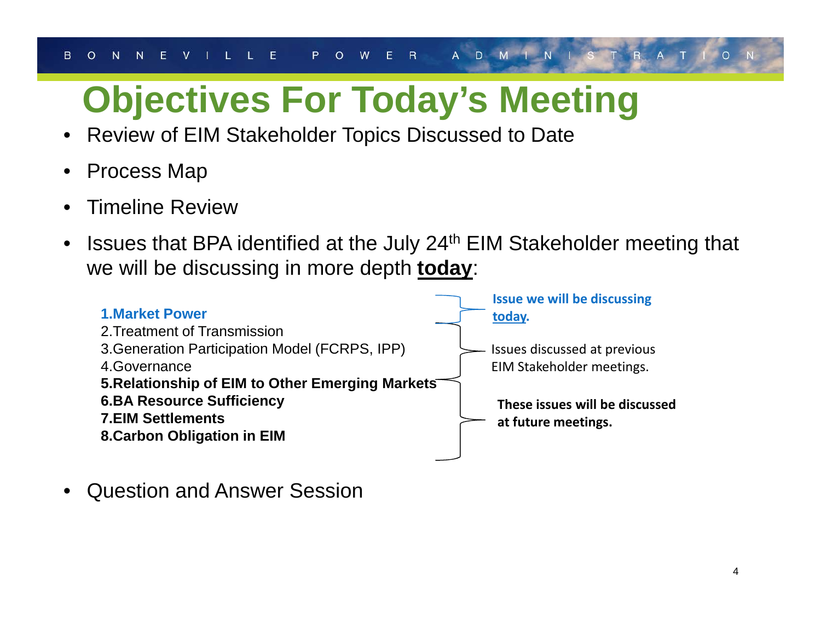# **Objectives For Today's Meeting**

- •Review of EIM Stakeholder Topics Discussed to Date
- •Process Map
- •Timeline Review
- $\bullet$  Issues that BPA identified at the July 24th EIM Stakeholder meeting that we will be discussing in more depth **today**:



•Question and Answer Session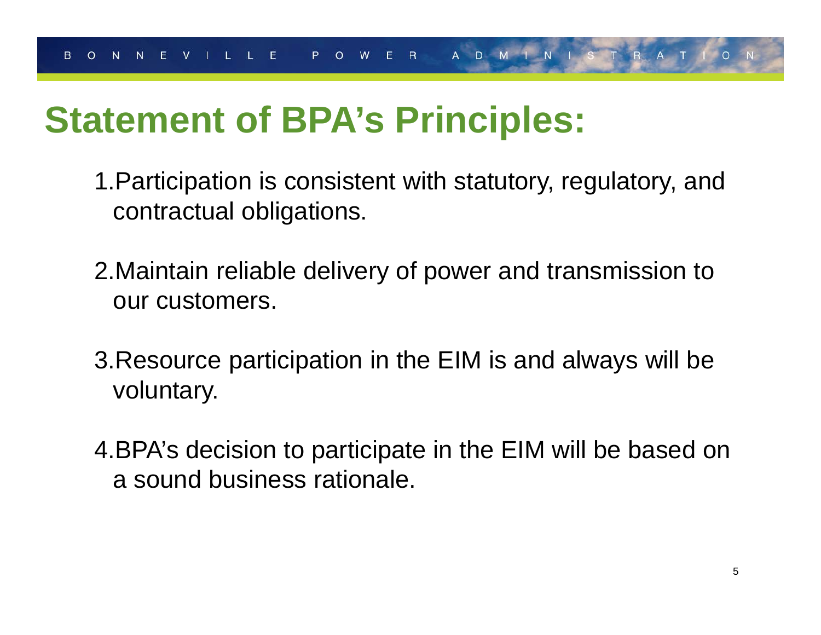# **Statement of BPA's Principles:**

- 1.Participation is consistent with statutory, regulatory, and contractual obligations.
- 2.Maintain reliable delivery of power and transmission to our customers.
- 3.Resource participation in the EIM is and always will be voluntary.
- 4.BPA's decision to participate in the EIM will be based on a sound business rationale.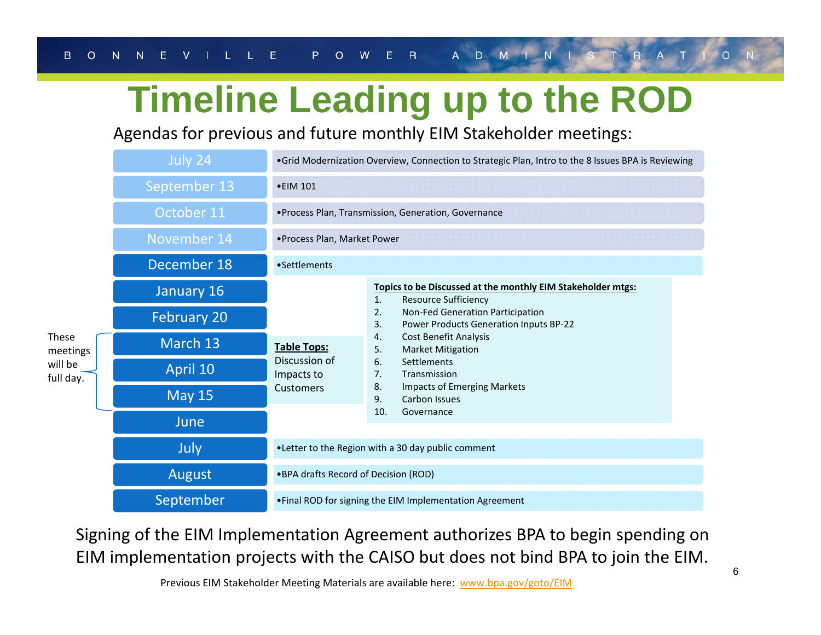# **Timeline Leading up to the ROD**

Agendas for previous and future monthly EIM Stakeholder meetings:

|                          | July 24            |                                                                       | . Grid Modernization Overview, Connection to Strategic Plan, Intro to the 8 Issues BPA is Reviewing |  |  |  |  |  |  |
|--------------------------|--------------------|-----------------------------------------------------------------------|-----------------------------------------------------------------------------------------------------|--|--|--|--|--|--|
|                          | September 13       | • EIM 101                                                             |                                                                                                     |  |  |  |  |  |  |
|                          | October 11         |                                                                       | · Process Plan, Transmission, Generation, Governance                                                |  |  |  |  |  |  |
|                          | November 14        | • Process Plan, Market Power                                          |                                                                                                     |  |  |  |  |  |  |
|                          | December 18        | •Settlements                                                          |                                                                                                     |  |  |  |  |  |  |
|                          | January 16         | <b>Table Tops:</b><br>Discussion of<br>Impacts to<br><b>Customers</b> | Topics to be Discussed at the monthly EIM Stakeholder mtgs:<br>1.<br><b>Resource Sufficiency</b>    |  |  |  |  |  |  |
|                          | <b>February 20</b> |                                                                       | 2.<br>Non-Fed Generation Participation<br>3.<br>Power Products Generation Inputs BP-22              |  |  |  |  |  |  |
| <b>These</b><br>meetings | March 13           |                                                                       | Cost Benefit Analysis<br>4.<br>5.<br><b>Market Mitigation</b>                                       |  |  |  |  |  |  |
| will be<br>full day.     | April 10           |                                                                       | 6.<br>Settlements<br>7.<br>Transmission                                                             |  |  |  |  |  |  |
|                          | <b>May 15</b>      |                                                                       | 8.<br><b>Impacts of Emerging Markets</b><br>Carbon Issues<br>9.                                     |  |  |  |  |  |  |
|                          | June               |                                                                       | 10.<br>Governance<br>. Letter to the Region with a 30 day public comment                            |  |  |  |  |  |  |
|                          | July               |                                                                       |                                                                                                     |  |  |  |  |  |  |
|                          | August             | .BPA drafts Record of Decision (ROD)                                  |                                                                                                     |  |  |  |  |  |  |
|                          | September          |                                                                       | • Final ROD for signing the EIM Implementation Agreement                                            |  |  |  |  |  |  |

Signing of the EIM Implementation Agreement authorizes BPA to begin spending on EIM implementation projects with the CAISO but does not bind BPA to join the EIM.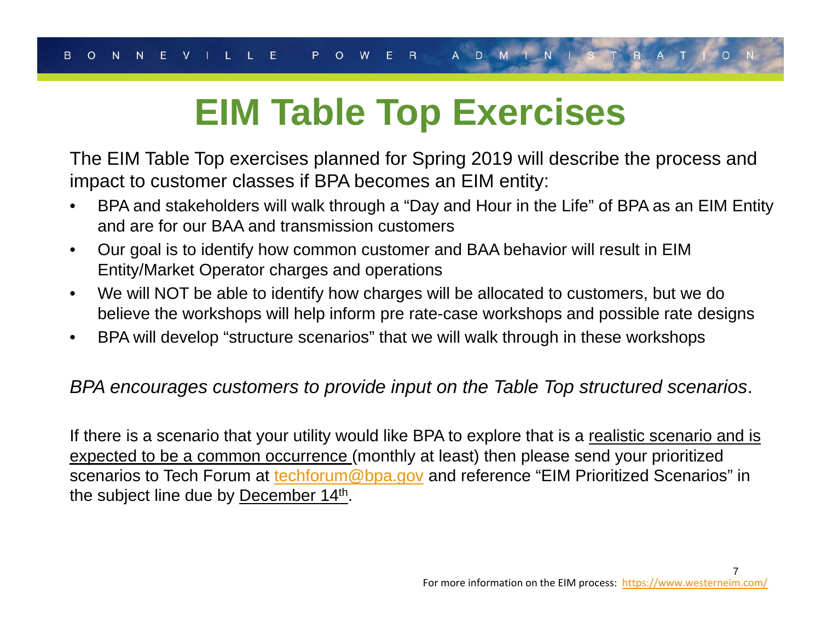# **EIM Table Top Exercises**

The EIM Table Top exercises planned for Spring 2019 will describe the process and impact to customer classes if BPA becomes an EIM entity:

- $\bullet$  BPA and stakeholders will walk through a "Day and Hour in the Life" of BPA as an EIM Entity and are for our BAA and transmission customers
- $\bullet$  Our goal is to identify how common customer and BAA behavior will result in EIM Entity/Market Operator charges and operations
- $\bullet$  We will NOT be able to identify how charges will be allocated to customers, but we do believe the workshops will help inform pre rate-case workshops and possible rate designs
- $\bullet$ BPA will develop "structure scenarios" that we will walk through in these workshops

### *BPA encourages customers to provide input on the Table Top structured scenarios*.

If there is a scenario that your utility would like BPA to explore that is a realistic scenario and is expected to be a common occurrence (monthly at least) then please send your prioritized scenarios to Tech Forum at techforum@bpa.gov and reference "EIM Prioritized Scenarios" in the subject line due by December 14th.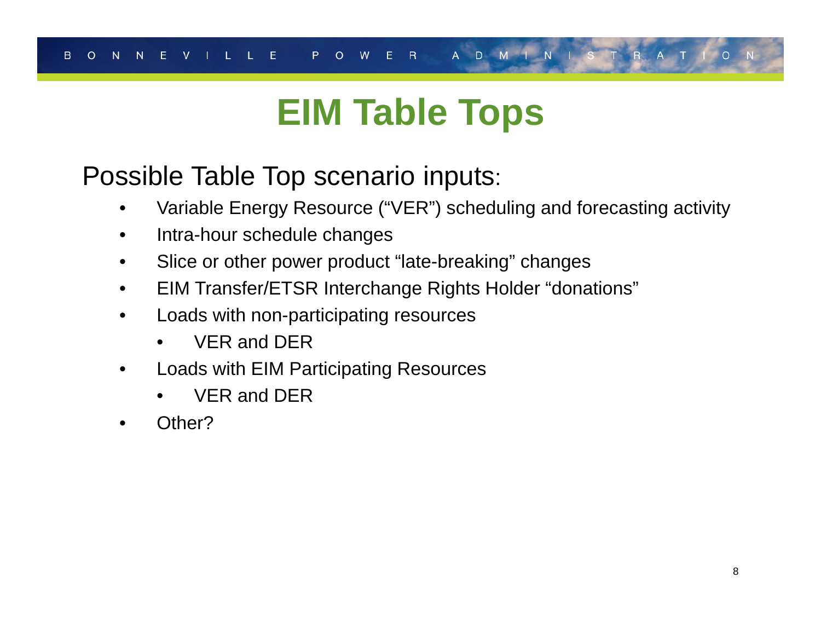# **EIM Table Tops**

### Possible Table Top scenario inputs:

- •Variable Energy Resource ("VER") scheduling and forecasting activity
- $\bullet$ Intra-hour schedule changes
- $\bullet$ Slice or other power product "late-breaking" changes
- •EIM Transfer/ETSR Interchange Rights Holder "donations"
- • Loads with non-participating resources
	- •VER and DER
- • Loads with EIM Participating Resources
	- •VER and DER
- •Other?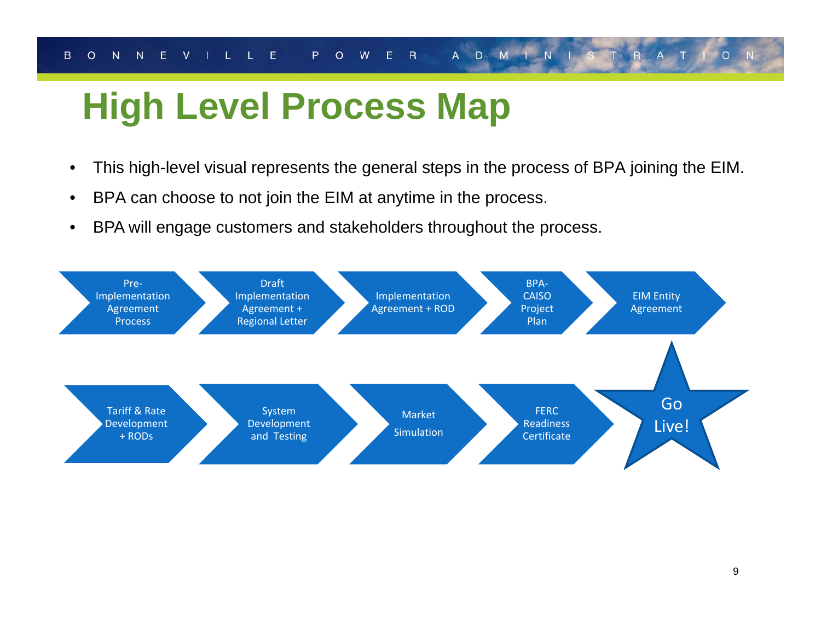# **High Level Process Map**

- $\bullet$ This high-level visual represents the general steps in the process of BPA joining the EIM.
- •BPA can choose to not join the EIM at anytime in the process.
- $\bullet$ BPA will engage customers and stakeholders throughout the process.

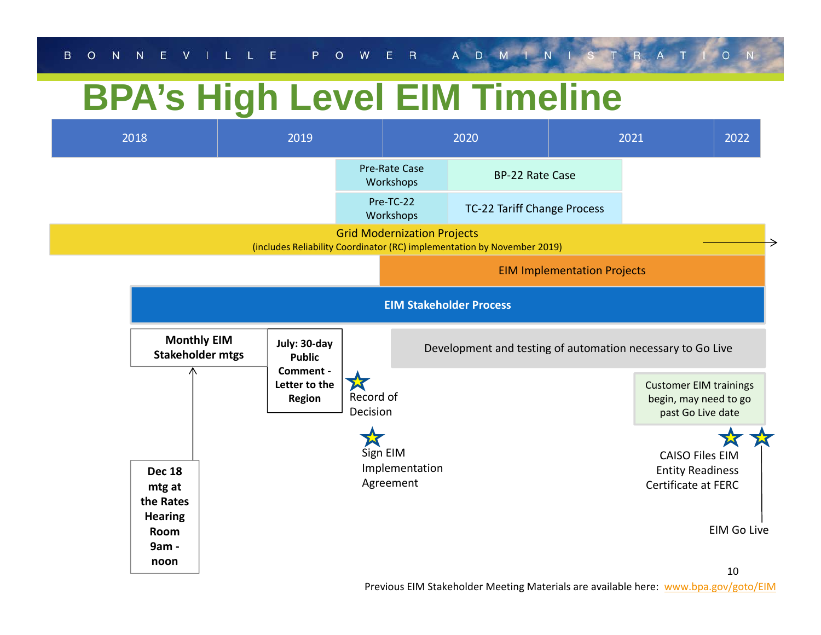# **BPA's High Level EIM Timeline**



Previous EIM Stakeholder Meeting Materials are available here: www.bpa.gov/goto/EIM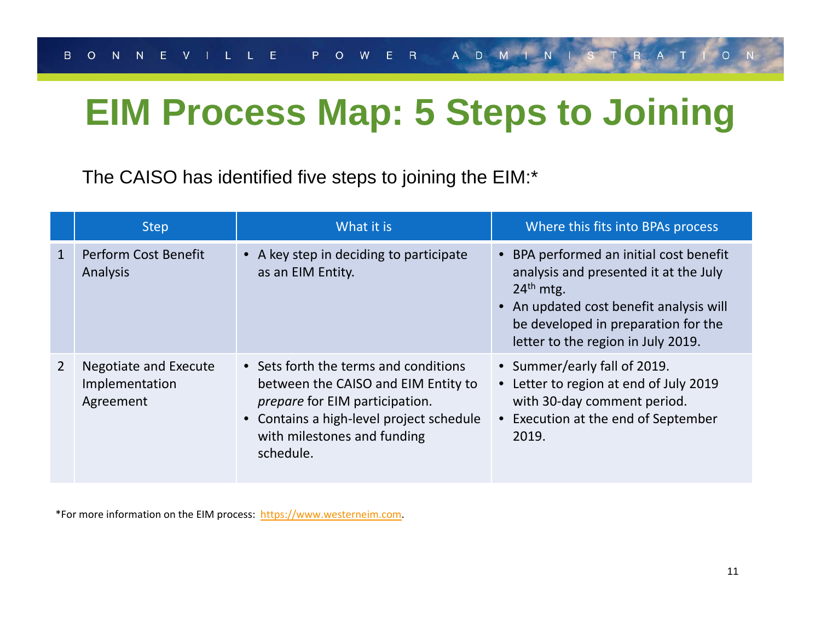# **EIM Process Map: 5 Steps to Joining**

The CAISO has identified five steps to joining the EIM:\*

|                | <b>Step</b>                                          | What it is                                                                                                                                                                                                    | Where this fits into BPAs process                                                                                                                                                                                       |  |  |  |
|----------------|------------------------------------------------------|---------------------------------------------------------------------------------------------------------------------------------------------------------------------------------------------------------------|-------------------------------------------------------------------------------------------------------------------------------------------------------------------------------------------------------------------------|--|--|--|
| $\mathbf{1}$   | Perform Cost Benefit<br>Analysis                     | • A key step in deciding to participate<br>as an EIM Entity.                                                                                                                                                  | • BPA performed an initial cost benefit<br>analysis and presented it at the July<br>$24th$ mtg.<br>• An updated cost benefit analysis will<br>be developed in preparation for the<br>letter to the region in July 2019. |  |  |  |
| $\overline{2}$ | Negotiate and Execute<br>Implementation<br>Agreement | • Sets forth the terms and conditions<br>between the CAISO and EIM Entity to<br><i>prepare</i> for EIM participation.<br>• Contains a high-level project schedule<br>with milestones and funding<br>schedule. | • Summer/early fall of 2019.<br>• Letter to region at end of July 2019<br>with 30-day comment period.<br>• Execution at the end of September<br>2019.                                                                   |  |  |  |

\*For more information on the EIM process: https://www.westerneim.com.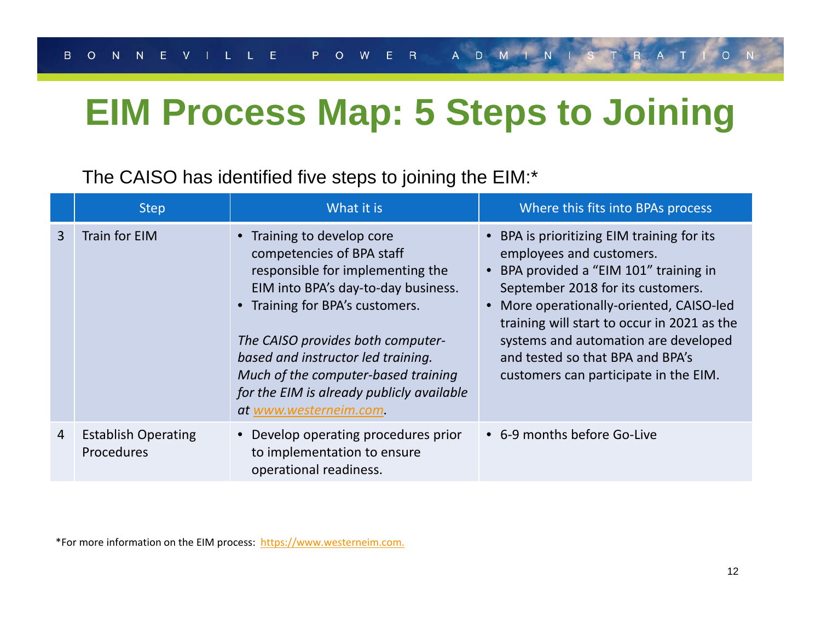# **EIM Process Map: 5 Steps to Joining**

### The CAISO has identified five steps to joining the EIM:\*

|                | <b>Step</b>                              | What it is                                                                                                                                                                                                                                                                                                                                                     | Where this fits into BPAs process                                                                                                                                                                                                                                                                                                                                 |  |  |  |  |
|----------------|------------------------------------------|----------------------------------------------------------------------------------------------------------------------------------------------------------------------------------------------------------------------------------------------------------------------------------------------------------------------------------------------------------------|-------------------------------------------------------------------------------------------------------------------------------------------------------------------------------------------------------------------------------------------------------------------------------------------------------------------------------------------------------------------|--|--|--|--|
| $\overline{3}$ | Train for EIM                            | • Training to develop core<br>competencies of BPA staff<br>responsible for implementing the<br>EIM into BPA's day-to-day business.<br>• Training for BPA's customers.<br>The CAISO provides both computer-<br>based and instructor led training.<br>Much of the computer-based training<br>for the EIM is already publicly available<br>at www.westerneim.com. | • BPA is prioritizing EIM training for its<br>employees and customers.<br>BPA provided a "EIM 101" training in<br>September 2018 for its customers.<br>More operationally-oriented, CAISO-led<br>training will start to occur in 2021 as the<br>systems and automation are developed<br>and tested so that BPA and BPA's<br>customers can participate in the EIM. |  |  |  |  |
| $\overline{4}$ | <b>Establish Operating</b><br>Procedures | Develop operating procedures prior<br>to implementation to ensure<br>operational readiness.                                                                                                                                                                                                                                                                    | • 6-9 months before Go-Live                                                                                                                                                                                                                                                                                                                                       |  |  |  |  |

\*For more information on the EIM process: https://www.westerneim.com.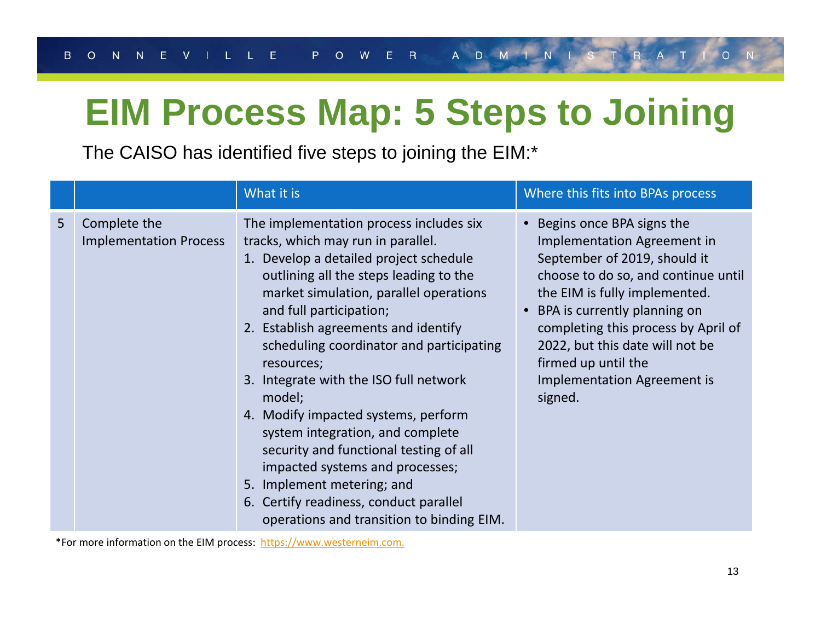# **EIM Process Map: 5 Steps to Joining**

The CAISO has identified five steps to joining the EIM:\*

|                |                                               | What it is                                                                                                                                                                                                                                                                                                                                                                                                                                                                                                                                                                                                                                                                | Where this fits into BPAs process                                                                                                                                                                                                                                                                                                                    |  |  |  |  |
|----------------|-----------------------------------------------|---------------------------------------------------------------------------------------------------------------------------------------------------------------------------------------------------------------------------------------------------------------------------------------------------------------------------------------------------------------------------------------------------------------------------------------------------------------------------------------------------------------------------------------------------------------------------------------------------------------------------------------------------------------------------|------------------------------------------------------------------------------------------------------------------------------------------------------------------------------------------------------------------------------------------------------------------------------------------------------------------------------------------------------|--|--|--|--|
| 5 <sup>1</sup> | Complete the<br><b>Implementation Process</b> | The implementation process includes six<br>tracks, which may run in parallel.<br>1. Develop a detailed project schedule<br>outlining all the steps leading to the<br>market simulation, parallel operations<br>and full participation;<br>2. Establish agreements and identify<br>scheduling coordinator and participating<br>resources;<br>3. Integrate with the ISO full network<br>model;<br>4. Modify impacted systems, perform<br>system integration, and complete<br>security and functional testing of all<br>impacted systems and processes;<br>5. Implement metering; and<br>6. Certify readiness, conduct parallel<br>operations and transition to binding EIM. | • Begins once BPA signs the<br>Implementation Agreement in<br>September of 2019, should it<br>choose to do so, and continue until<br>the EIM is fully implemented.<br>BPA is currently planning on<br>completing this process by April of<br>2022, but this date will not be<br>firmed up until the<br><b>Implementation Agreement is</b><br>signed. |  |  |  |  |

\*For more information on the EIM process: https://www.westerneim.com.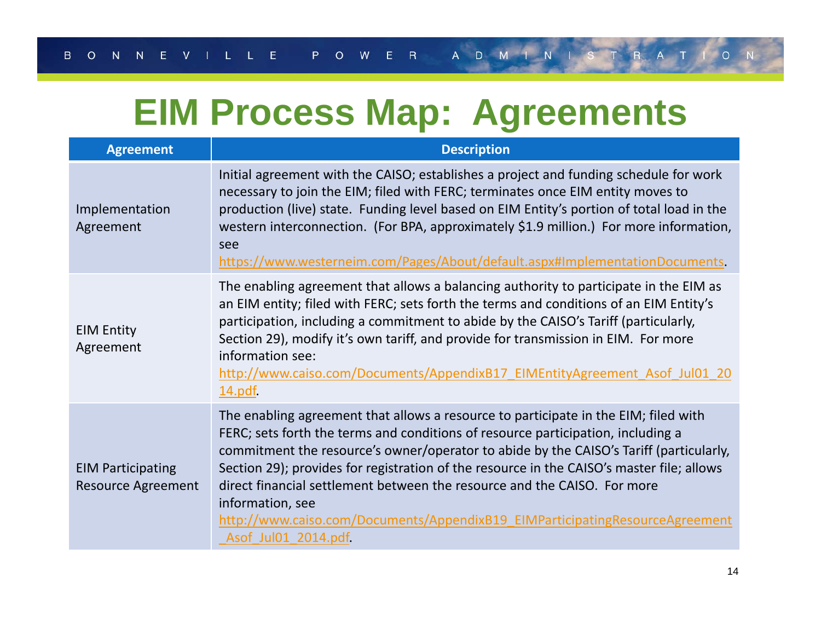# **EIM Process Map: Agreements**

| <b>Agreement</b>                                      | <b>Description</b>                                                                                                                                                                                                                                                                                                                                                                                                                                                                                                                                                    |
|-------------------------------------------------------|-----------------------------------------------------------------------------------------------------------------------------------------------------------------------------------------------------------------------------------------------------------------------------------------------------------------------------------------------------------------------------------------------------------------------------------------------------------------------------------------------------------------------------------------------------------------------|
| Implementation<br>Agreement                           | Initial agreement with the CAISO; establishes a project and funding schedule for work<br>necessary to join the EIM; filed with FERC; terminates once EIM entity moves to<br>production (live) state. Funding level based on EIM Entity's portion of total load in the<br>western interconnection. (For BPA, approximately \$1.9 million.) For more information,<br>see<br>https://www.westerneim.com/Pages/About/default.aspx#ImplementationDocuments                                                                                                                 |
| <b>EIM Entity</b><br>Agreement                        | The enabling agreement that allows a balancing authority to participate in the EIM as<br>an EIM entity; filed with FERC; sets forth the terms and conditions of an EIM Entity's<br>participation, including a commitment to abide by the CAISO's Tariff (particularly,<br>Section 29), modify it's own tariff, and provide for transmission in EIM. For more<br>information see:<br>http://www.caiso.com/Documents/AppendixB17 EIMEntityAgreement Asof Jul01 20<br>14.pdf                                                                                             |
| <b>EIM Participating</b><br><b>Resource Agreement</b> | The enabling agreement that allows a resource to participate in the EIM; filed with<br>FERC; sets forth the terms and conditions of resource participation, including a<br>commitment the resource's owner/operator to abide by the CAISO's Tariff (particularly,<br>Section 29); provides for registration of the resource in the CAISO's master file; allows<br>direct financial settlement between the resource and the CAISO. For more<br>information, see<br>http://www.caiso.com/Documents/AppendixB19 EIMParticipatingResourceAgreement<br>Asof Jul01 2014.pdf |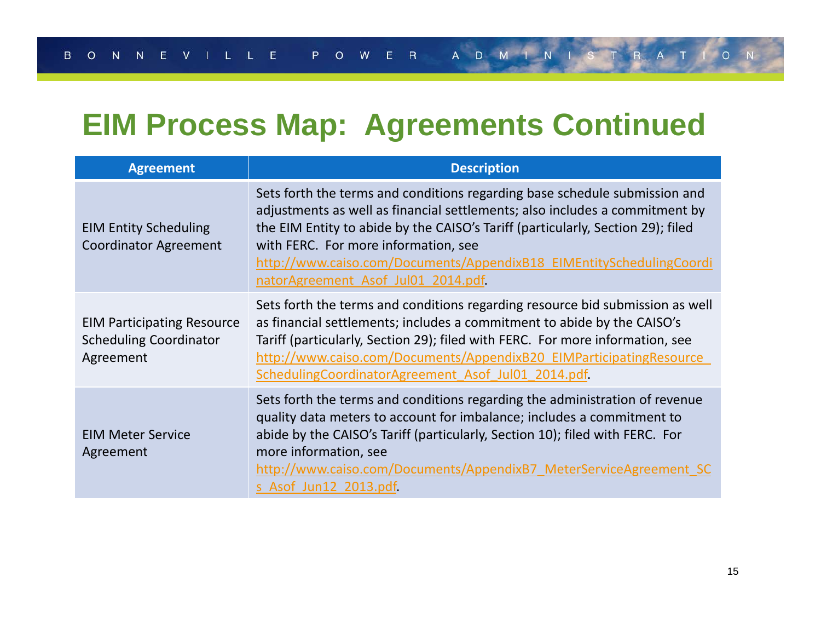## **EIM Process Map: Agreements Continued**

| <b>Agreement</b>                                                                | <b>Description</b>                                                                                                                                                                                                                                                                                                                                                                                 |  |  |  |  |
|---------------------------------------------------------------------------------|----------------------------------------------------------------------------------------------------------------------------------------------------------------------------------------------------------------------------------------------------------------------------------------------------------------------------------------------------------------------------------------------------|--|--|--|--|
| <b>EIM Entity Scheduling</b><br><b>Coordinator Agreement</b>                    | Sets forth the terms and conditions regarding base schedule submission and<br>adjustments as well as financial settlements; also includes a commitment by<br>the EIM Entity to abide by the CAISO's Tariff (particularly, Section 29); filed<br>with FERC. For more information, see<br>http://www.caiso.com/Documents/AppendixB18 EIMEntitySchedulingCoordi<br>natorAgreement Asof Jul01 2014.pdf |  |  |  |  |
| <b>EIM Participating Resource</b><br><b>Scheduling Coordinator</b><br>Agreement | Sets forth the terms and conditions regarding resource bid submission as well<br>as financial settlements; includes a commitment to abide by the CAISO's<br>Tariff (particularly, Section 29); filed with FERC. For more information, see<br>http://www.caiso.com/Documents/AppendixB20 EIMParticipatingResource<br>SchedulingCoordinatorAgreement Asof Jul01 2014.pdf                             |  |  |  |  |
| <b>EIM Meter Service</b><br>Agreement                                           | Sets forth the terms and conditions regarding the administration of revenue<br>quality data meters to account for imbalance; includes a commitment to<br>abide by the CAISO's Tariff (particularly, Section 10); filed with FERC. For<br>more information, see<br>http://www.caiso.com/Documents/AppendixB7 MeterServiceAgreement SC<br>s Asof Jun12 2013.pdf                                      |  |  |  |  |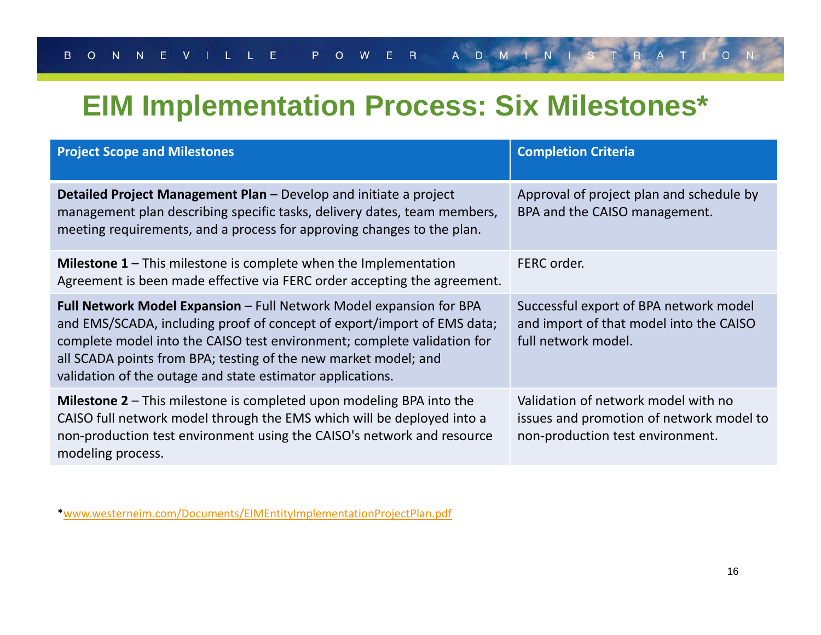### **EIM Implementation Process: Six Milestones\***

| <b>Project Scope and Milestones</b>                                                                                                                                                                                                                                                                                                                               | <b>Completion Criteria</b>                                                                                          |
|-------------------------------------------------------------------------------------------------------------------------------------------------------------------------------------------------------------------------------------------------------------------------------------------------------------------------------------------------------------------|---------------------------------------------------------------------------------------------------------------------|
| <b>Detailed Project Management Plan –</b> Develop and initiate a project<br>management plan describing specific tasks, delivery dates, team members,<br>meeting requirements, and a process for approving changes to the plan.                                                                                                                                    | Approval of project plan and schedule by<br>BPA and the CAISO management.                                           |
| <b>Milestone 1 – This milestone is complete when the Implementation</b><br>Agreement is been made effective via FERC order accepting the agreement.                                                                                                                                                                                                               | FERC order.                                                                                                         |
| <b>Full Network Model Expansion - Full Network Model expansion for BPA</b><br>and EMS/SCADA, including proof of concept of export/import of EMS data;<br>complete model into the CAISO test environment; complete validation for<br>all SCADA points from BPA; testing of the new market model; and<br>validation of the outage and state estimator applications. | Successful export of BPA network model<br>and import of that model into the CAISO<br>full network model.            |
| <b>Milestone 2 – This milestone is completed upon modeling BPA into the</b><br>CAISO full network model through the EMS which will be deployed into a<br>non-production test environment using the CAISO's network and resource<br>modeling process.                                                                                                              | Validation of network model with no<br>issues and promotion of network model to<br>non-production test environment. |

\*www.westerneim.com/Documents/EIMEntityImplementationProjectPlan.pdf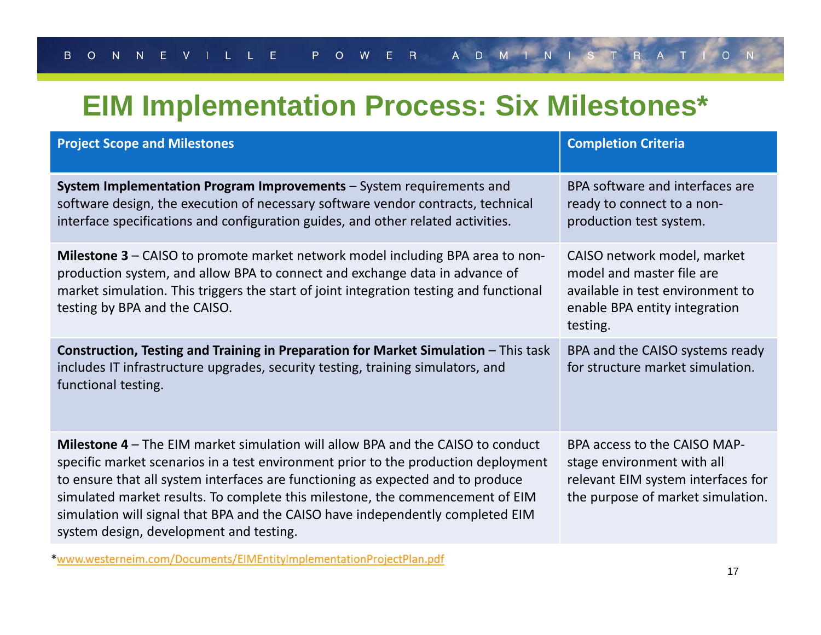### **EIM Implementation Process: Six Milestones\***

| <b>Project Scope and Milestones</b>                                                                                                                                                                                                                                                                                                                                                                                                                                           | <b>Completion Criteria</b>                                                                                                                |
|-------------------------------------------------------------------------------------------------------------------------------------------------------------------------------------------------------------------------------------------------------------------------------------------------------------------------------------------------------------------------------------------------------------------------------------------------------------------------------|-------------------------------------------------------------------------------------------------------------------------------------------|
| System Implementation Program Improvements - System requirements and<br>software design, the execution of necessary software vendor contracts, technical<br>interface specifications and configuration guides, and other related activities.                                                                                                                                                                                                                                  | BPA software and interfaces are<br>ready to connect to a non-<br>production test system.                                                  |
| Milestone 3 – CAISO to promote market network model including BPA area to non-<br>production system, and allow BPA to connect and exchange data in advance of<br>market simulation. This triggers the start of joint integration testing and functional<br>testing by BPA and the CAISO.                                                                                                                                                                                      | CAISO network model, market<br>model and master file are<br>available in test environment to<br>enable BPA entity integration<br>testing. |
| Construction, Testing and Training in Preparation for Market Simulation - This task<br>includes IT infrastructure upgrades, security testing, training simulators, and<br>functional testing.                                                                                                                                                                                                                                                                                 | BPA and the CAISO systems ready<br>for structure market simulation.                                                                       |
| <b>Milestone 4 – The EIM market simulation will allow BPA and the CAISO to conduct</b><br>specific market scenarios in a test environment prior to the production deployment<br>to ensure that all system interfaces are functioning as expected and to produce<br>simulated market results. To complete this milestone, the commencement of EIM<br>simulation will signal that BPA and the CAISO have independently completed EIM<br>system design, development and testing. | BPA access to the CAISO MAP-<br>stage environment with all<br>relevant EIM system interfaces for<br>the purpose of market simulation.     |

\*www.westerneim.com/Documents/EIMEntityImplementationProjectPlan.pdf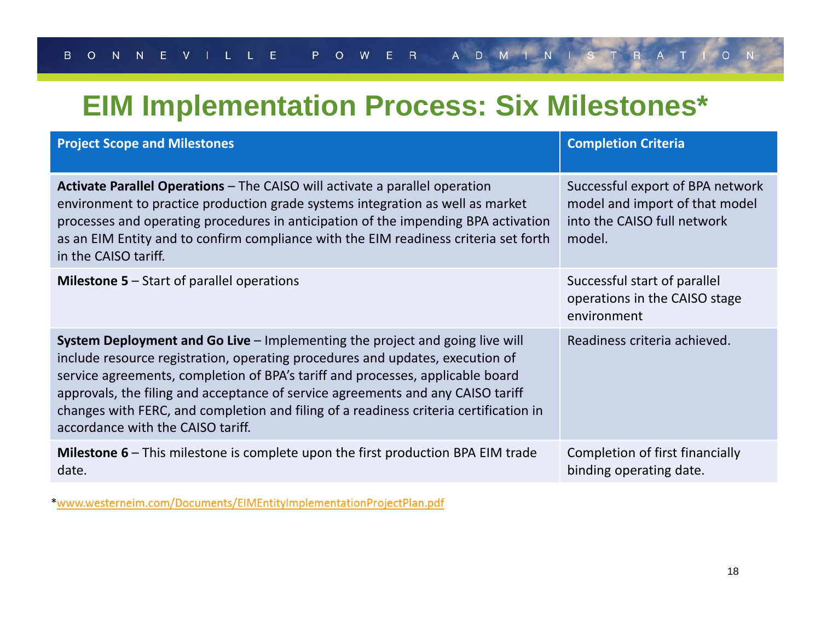### **EIM Implementation Process: Six Milestones\***

| <b>Project Scope and Milestones</b>                                                                                                                                                                                                                                                                                                                                                                                                                                     | <b>Completion Criteria</b>                                                                                  |
|-------------------------------------------------------------------------------------------------------------------------------------------------------------------------------------------------------------------------------------------------------------------------------------------------------------------------------------------------------------------------------------------------------------------------------------------------------------------------|-------------------------------------------------------------------------------------------------------------|
| <b>Activate Parallel Operations – The CAISO will activate a parallel operation</b><br>environment to practice production grade systems integration as well as market<br>processes and operating procedures in anticipation of the impending BPA activation<br>as an EIM Entity and to confirm compliance with the EIM readiness criteria set forth<br>in the CAISO tariff.                                                                                              | Successful export of BPA network<br>model and import of that model<br>into the CAISO full network<br>model. |
| <b>Milestone 5 – Start of parallel operations</b>                                                                                                                                                                                                                                                                                                                                                                                                                       | Successful start of parallel<br>operations in the CAISO stage<br>environment                                |
| <b>System Deployment and Go Live – Implementing the project and going live will</b><br>include resource registration, operating procedures and updates, execution of<br>service agreements, completion of BPA's tariff and processes, applicable board<br>approvals, the filing and acceptance of service agreements and any CAISO tariff<br>changes with FERC, and completion and filing of a readiness criteria certification in<br>accordance with the CAISO tariff. | Readiness criteria achieved.                                                                                |
| <b>Milestone 6 – This milestone is complete upon the first production BPA EIM trade</b><br>date.                                                                                                                                                                                                                                                                                                                                                                        | Completion of first financially<br>binding operating date.                                                  |

\*www.westerneim.com/Documents/EIMEntityImplementationProjectPlan.pdf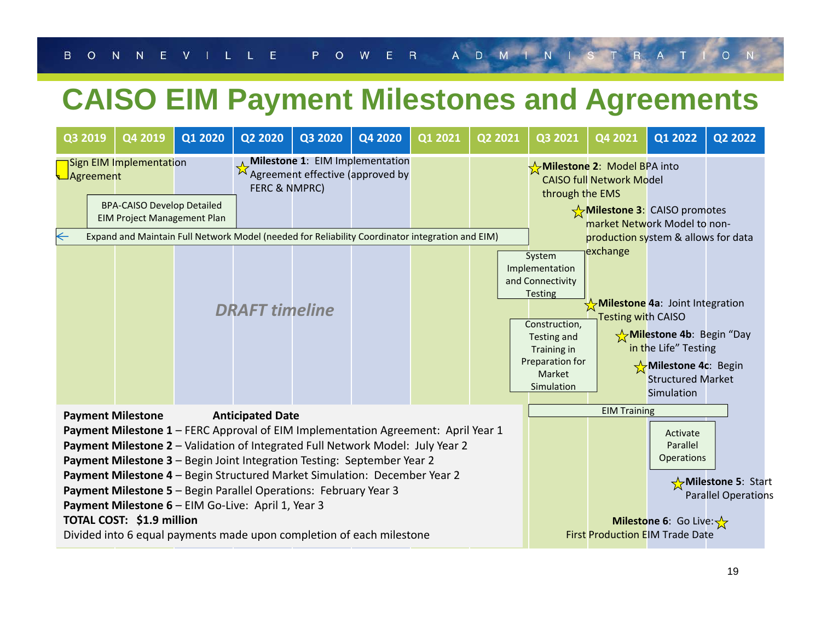### **CAISO EIM Payment Milestones and Agreements**

| Q3 2019                                                                                                                                                                                                                                                                                                                                                                                                                                                                                                                                                                                                           |  | Q4 2019                                                                                            | Q1 2020               | Q2 2020       | Q3 2020 | Q4 2020                                                                    | Q1 2021 | Q2 2021                                                                                                                                                  | Q3 2021                                                                          | Q4 2021                                                                                                                                              | Q1 2022 | Q2 2022 |
|-------------------------------------------------------------------------------------------------------------------------------------------------------------------------------------------------------------------------------------------------------------------------------------------------------------------------------------------------------------------------------------------------------------------------------------------------------------------------------------------------------------------------------------------------------------------------------------------------------------------|--|----------------------------------------------------------------------------------------------------|-----------------------|---------------|---------|----------------------------------------------------------------------------|---------|----------------------------------------------------------------------------------------------------------------------------------------------------------|----------------------------------------------------------------------------------|------------------------------------------------------------------------------------------------------------------------------------------------------|---------|---------|
| ⊿Agreement                                                                                                                                                                                                                                                                                                                                                                                                                                                                                                                                                                                                        |  | Sign EIM Implementation<br><b>BPA-CAISO Develop Detailed</b><br><b>EIM Project Management Plan</b> |                       | FERC & NMPRC) |         | <b>Milestone 1: EIM Implementation</b><br>Agreement effective (approved by |         |                                                                                                                                                          | through the EMS                                                                  | Milestone 2: Model BPA into<br><b>CAISO full Network Model</b><br>$\frac{1}{\sqrt{2}}$ Milestone 3: CAISO promotes<br>market Network Model to non-   |         |         |
| $\leftarrow$<br>Expand and Maintain Full Network Model (needed for Reliability Coordinator integration and EIM)                                                                                                                                                                                                                                                                                                                                                                                                                                                                                                   |  |                                                                                                    | <b>DRAFT</b> timeline |               |         |                                                                            |         | System<br>Implementation<br>and Connectivity<br><b>Testing</b><br>Construction,<br>Testing and<br>Training in<br>Preparation for<br>Market<br>Simulation | production system & allows for data<br>exchange<br><b>Testing with CAISO</b>     | Milestone 4a: Joint Integration<br>Milestone 4b: Begin "Day<br>in the Life" Testing<br>Milestone 4c: Begin<br><b>Structured Market</b><br>Simulation |         |         |
| <b>Payment Milestone</b><br><b>Anticipated Date</b><br>Payment Milestone 1 - FERC Approval of EIM Implementation Agreement: April Year 1<br>Payment Milestone 2 - Validation of Integrated Full Network Model: July Year 2<br>Payment Milestone 3 - Begin Joint Integration Testing: September Year 2<br>Payment Milestone 4 - Begin Structured Market Simulation: December Year 2<br>Payment Milestone 5 - Begin Parallel Operations: February Year 3<br>Payment Milestone 6 - EIM Go-Live: April 1, Year 3<br>TOTAL COST: \$1.9 million<br>Divided into 6 equal payments made upon completion of each milestone |  |                                                                                                    |                       |               |         |                                                                            |         | <b>EIM Training</b><br><b>First Production EIM Trade Date</b>                                                                                            | Activate<br>Parallel<br>Operations<br><b>Milestone 6:</b> Go Live: $\frac{1}{2}$ | Milestone 5: Start<br><b>Parallel Operations</b>                                                                                                     |         |         |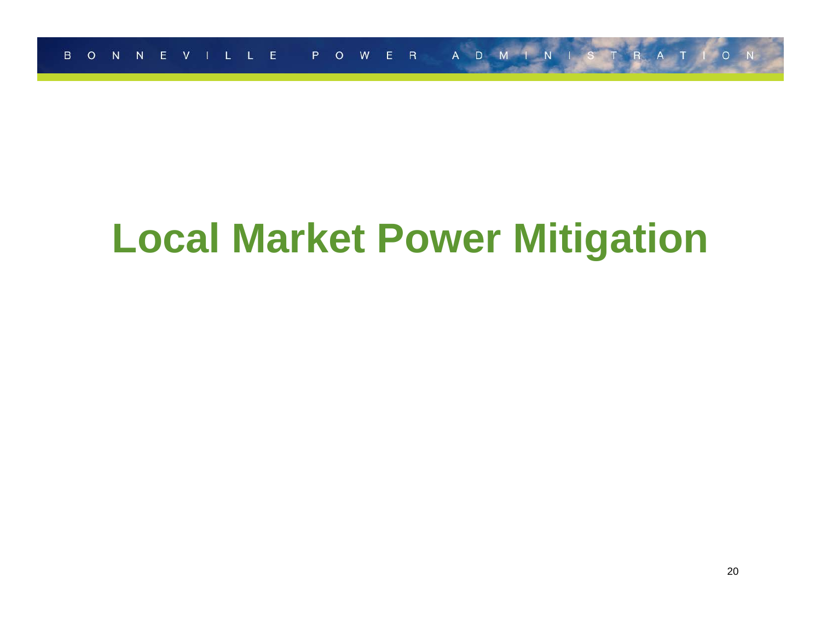# **Local Market Power Mitigation**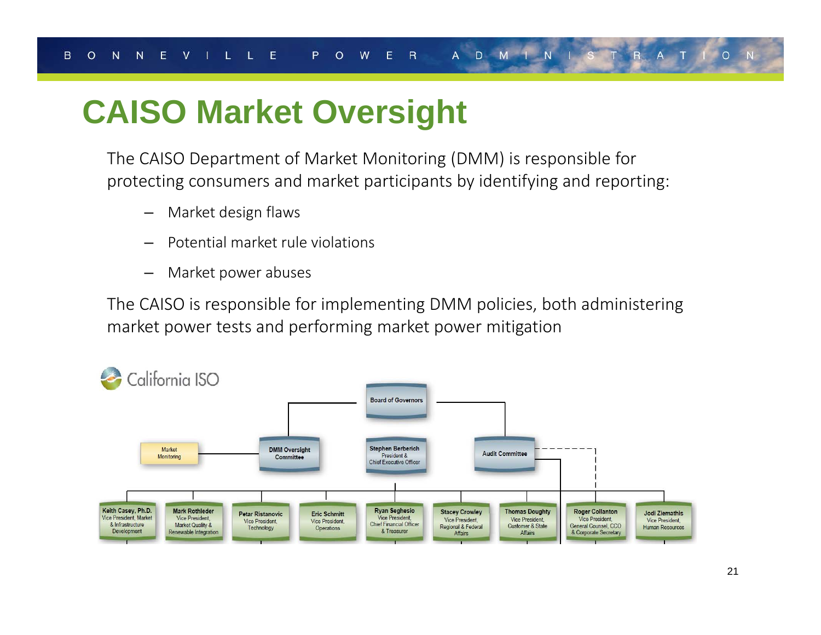## **CAISO Market Oversight**

The CAISO Department of Market Monitoring (DMM) is responsible for protecting consumers and market participants by identifying and reporting:

- –Market design flaws
- Potential market rule violations
- –Market power abuses

The CAISO is responsible for implementing DMM policies, both administering market power tests and performing market power mitigation

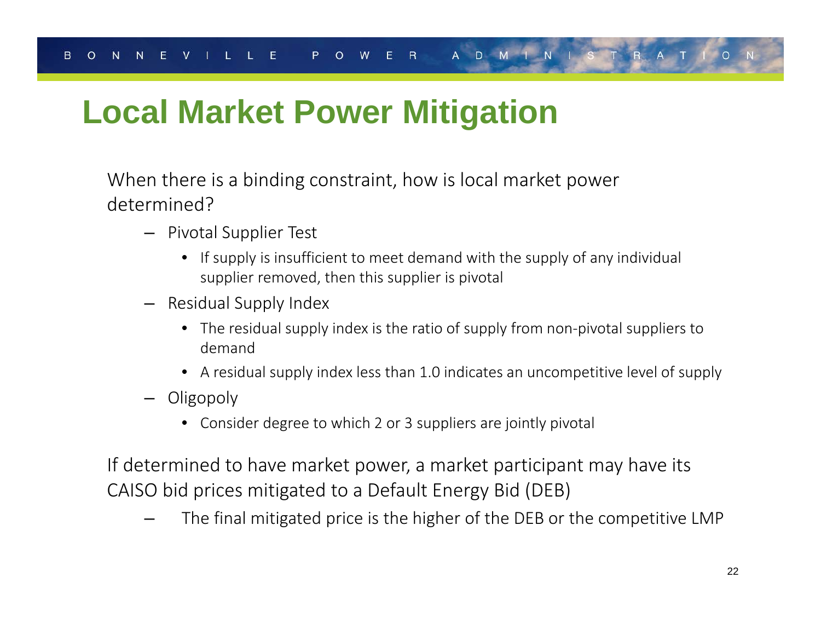## **Local Market Power Mitigation**

When there is a binding constraint, how is local market power determined?

- Pivotal Supplier Test
	- If supply is insufficient to meet demand with the supply of any individual supplier removed, then this supplier is pivotal
- Residual Supply Index
	- The residual supply index is the ratio of supply from non‐pivotal suppliers to demand
	- A residual supply index less than 1.0 indicates an uncompetitive level of supply
- Oligopoly
	- Consider degree to which 2 or 3 suppliers are jointly pivotal

If determined to have market power, a market participant may have its CAISO bid prices mitigated to a Default Energy Bid (DEB)

The final mitigated price is the higher of the DEB or the competitive LMP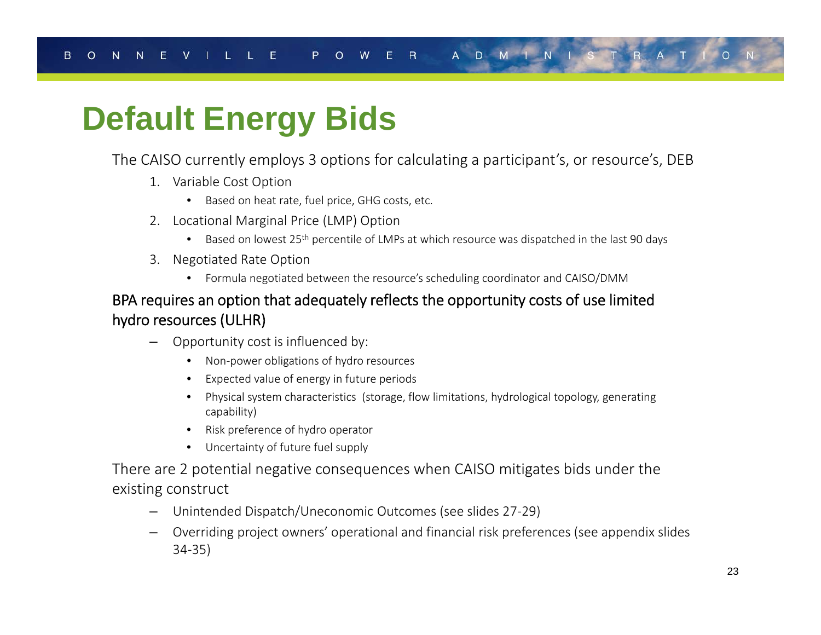## **Default Energy Bids**

### The CAISO currently employs 3 options for calculating a participant's, or resource's, DEB

- 1. Variable Cost Option
	- Based on heat rate, fuel price, GHG costs, etc.
- 2. Locational Marginal Price (LMP) Option
	- Based on lowest 25<sup>th</sup> percentile of LMPs at which resource was dispatched in the last 90 days
- 3. Negotiated Rate Option
	- Formula negotiated between the resource's scheduling coordinator and CAISO/DMM

### BPA requires an option that adequately reflects the opportunity costs of use limited hydro resources (ULHR)

- – Opportunity cost is influenced by:
	- Non‐power obligations of hydro resources
	- Expected value of energy in future periods
	- Physical system characteristics (storage, flow limitations, hydrological topology, generating capability)
	- Risk preference of hydro operator
	- Uncertainty of future fuel supply

There are 2 potential negative consequences when CAISO mitigates bids under the existing construct

- –Unintended Dispatch/Uneconomic Outcomes (see slides 27‐29)
- Overriding project owners' operational and financial risk preferences (see appendix slides 34‐35)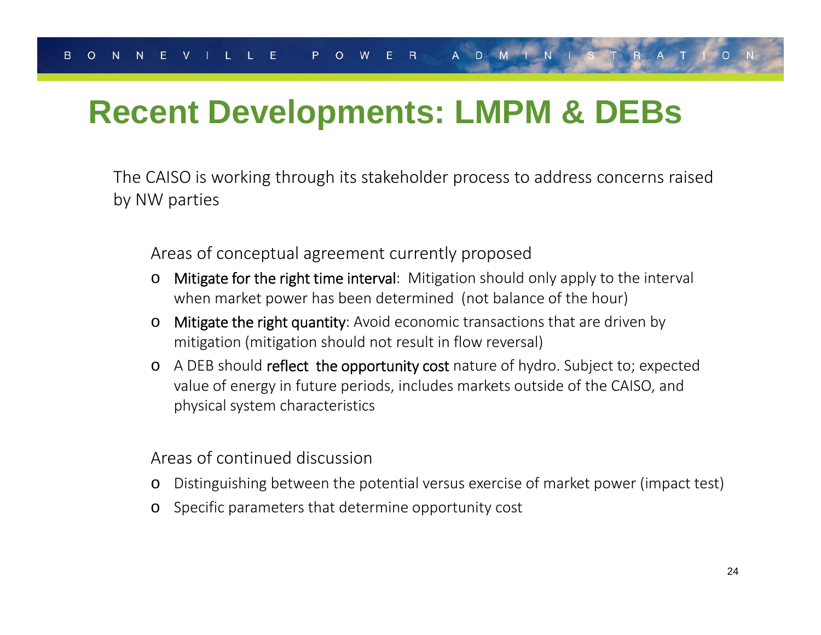## **Recent Developments: LMPM & DEBs**

The CAISO is working through its stakeholder process to address concerns raised by NW parties

Areas of conceptual agreement currently proposed

- o Mitigate for the right time interval: Mitigation should only apply to the interval when market power has been determined (not balance of the hour)
- o Mitigate the right quantity: Avoid economic transactions that are driven by mitigation (mitigation should not result in flow reversal)
- o A DEB should reflect the opportunity cost nature of hydro. Subject to; expected value of energy in future periods, includes markets outside of the CAISO, and physical system characteristics

Areas of continued discussion

- oDistinguishing between the potential versus exercise of market power (impact test)
- oSpecific parameters that determine opportunity cost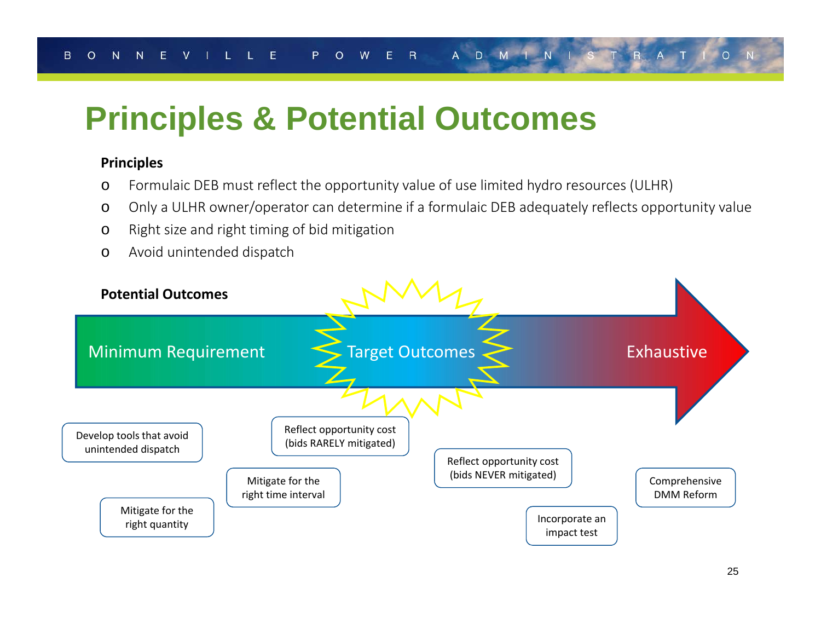## **Principles & Potential Outcomes**

### **Principles**

- oFormulaic DEB must reflect the opportunity value of use limited hydro resources (ULHR)
- oOnly a ULHR owner/operator can determine if a formulaic DEB adequately reflects opportunity value
- oRight size and right timing of bid mitigation
- oAvoid unintended dispatch

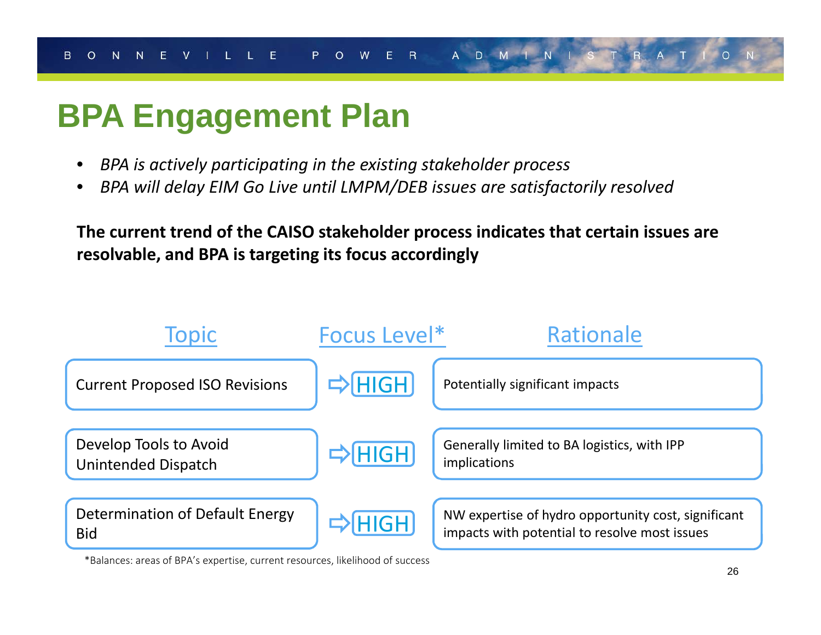## **BPA Engagement Plan**

- •*BPA is actively participating in the existing stakeholder process*
- •*BPA will delay EIM Go Live until LMPM/DEB issues are satisfactorily resolved*

**The current trend of the CAISO stakeholder process indicates that certain issues are resolvable, and BPA is targeting its focus accordingly**



\*Balances: areas of BPA's expertise, current resources, likelihood of success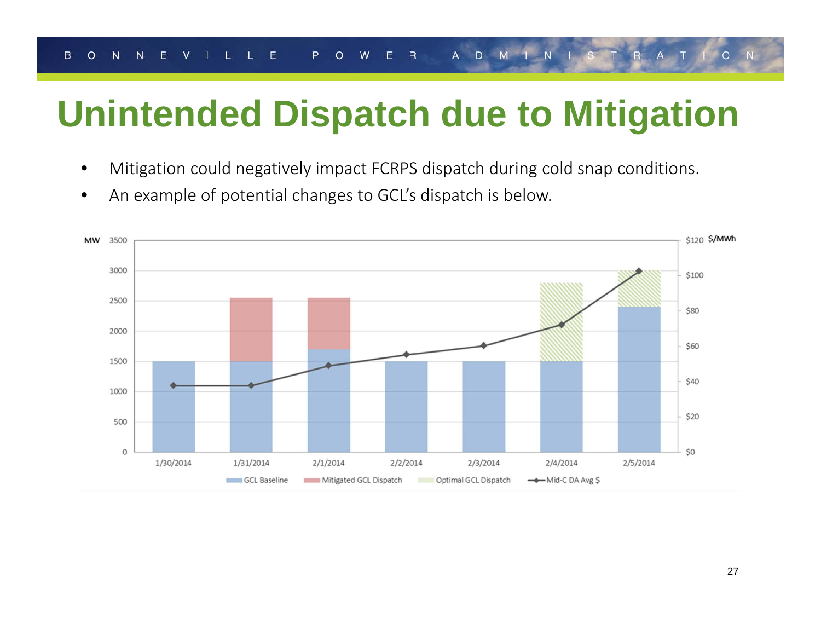# **Unintended Dispatch due to Mitigation**

- $\bullet$ Mitigation could negatively impact FCRPS dispatch during cold snap conditions.
- •An example of potential changes to GCL's dispatch is below.

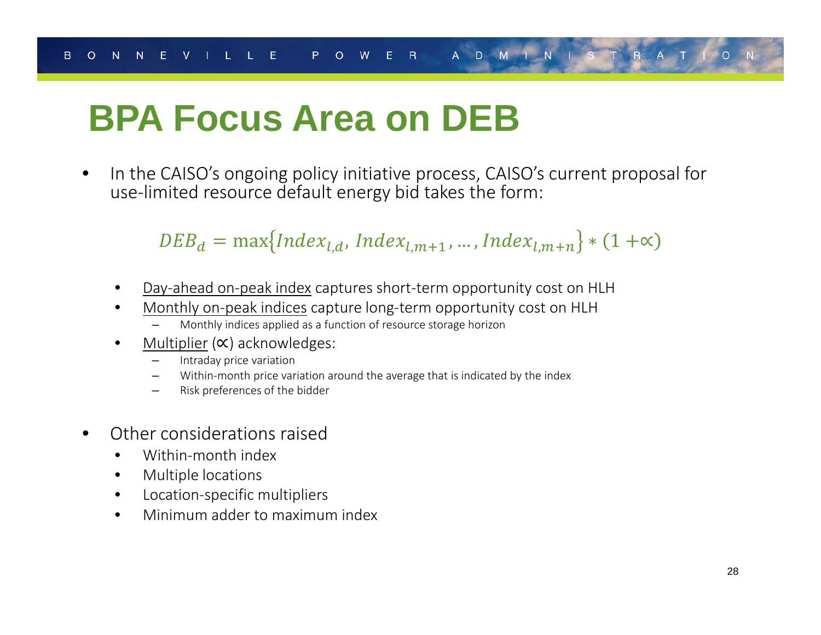# **BPA Focus Area on DEB**

•• In the CAISO's ongoing policy initiative process, CAISO's current proposal for use‐limited resource default energy bid takes the form:

 $DEB_d = \max\{Index_{l,d}, Index_{l,m+1}, ..., Index_{l,m+n}\}*(1+\infty)$ 

- •Day‐ahead on‐peak index captures short‐term opportunity cost on HLH
- • Monthly on‐peak indices capture long‐term opportunity cost on HLH
	- Monthly indices applied as <sup>a</sup> function of resource storage horizon
- •• Multiplier (∝) acknowledges:
	- Intraday price variation
	- Within-month price variation around the average that is indicated by the index
	- Risk preferences of the bidder
- •**•** Other considerations raised
	- •Within‐month index
	- $\bullet$ Multiple locations
	- $\bullet$ Location‐specific multipliers
	- •Minimum adder to maximum index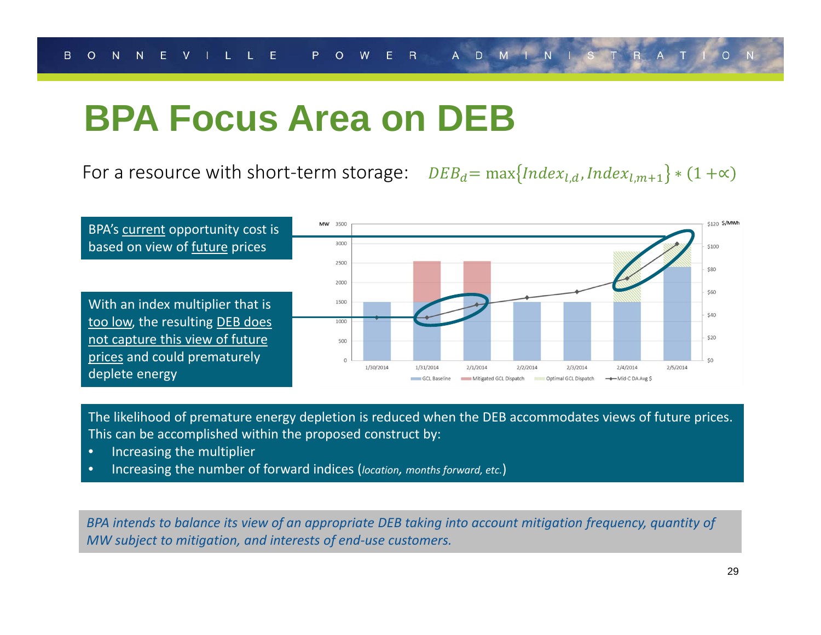## **BPA Focus Area on DEB**

For a resource with short-term storage:  $\;\;\;DEB_d = \max\{Index_{l,d}, Index_{l,m+1}\}*(1+\infty)$ 



The likelihood of premature energy depletion is reduced when the DEB accommodates views of future prices. This can be accomplished within the proposed construct by:

- •Increasing the multiplier
- •Increasing the number of forward indices (*location, months forward, etc.*)

BPA intends to balance its view of an appropriate DEB taking into account mitigation frequency, quantity of *MW subject to mitigation, and interests of end‐use customers.*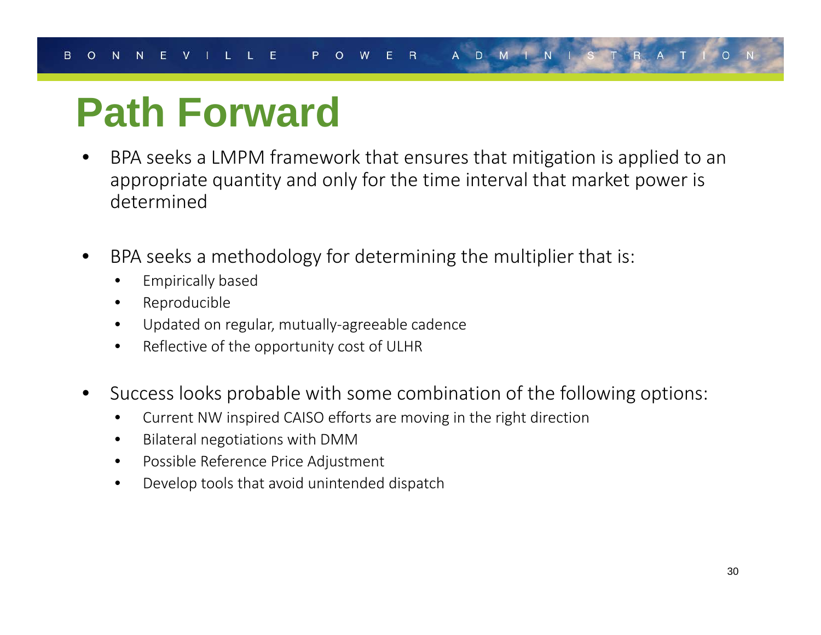# **Path Forward**

- • BPA seeks a LMPM framework that ensures that mitigation is applied to an appropriate quantity and only for the time interval that market power is determined
- • BPA seeks a methodology for determining the multiplier that is:
	- •Empirically based
	- •Reproducible
	- •Updated on regular, mutually‐agreeable cadence
	- $\bullet$  $\bullet$   $\;\;$  Reflective of the opportunity cost of ULHR
- • Success looks probable with some combination of the following options:
	- •Current NW inspired CAISO efforts are moving in the right direction
	- •Bilateral negotiations with DMM
	- •Possible Reference Price Adjustment
	- $\bullet$ Develop tools that avoid unintended dispatch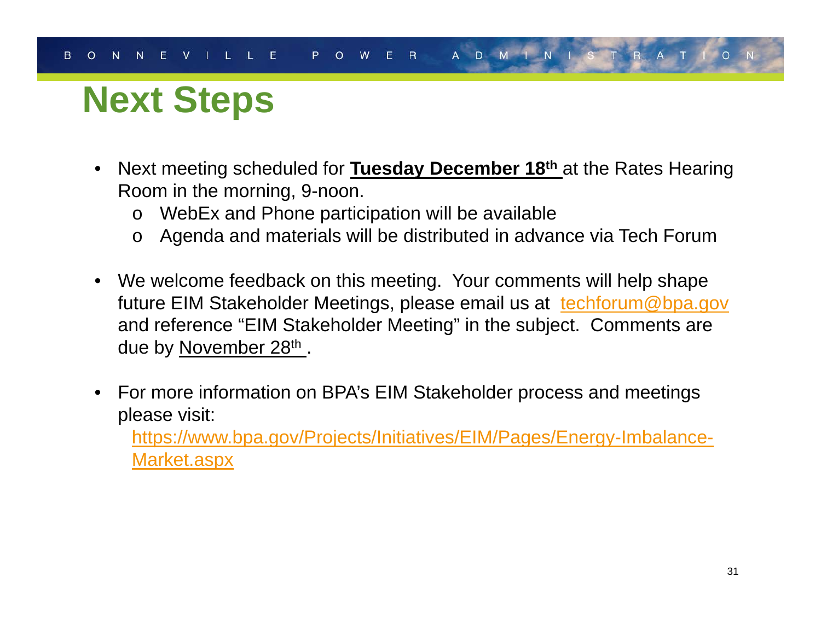# **Next Steps**

- $\bullet$  Next meeting scheduled for **Tuesday December 18th** at the Rates Hearing Room in the morning, 9-noon.
	- oWebEx and Phone participation will be available
	- oAgenda and materials will be distributed in advance via Tech Forum
- We welcome feedback on this meeting. Your comments will help shape future EIM Stakeholder Meetings, please email us at techforum@bpa.gov and reference "EIM Stakeholder Meeting" in the subject. Comments are due by November 28th.
- • For more information on BPA's EIM Stakeholder process and meetings please visit:

https://www.bpa.gov/Projects/Initiatives/EIM/Pages/Energy-Imbalance-Market.aspx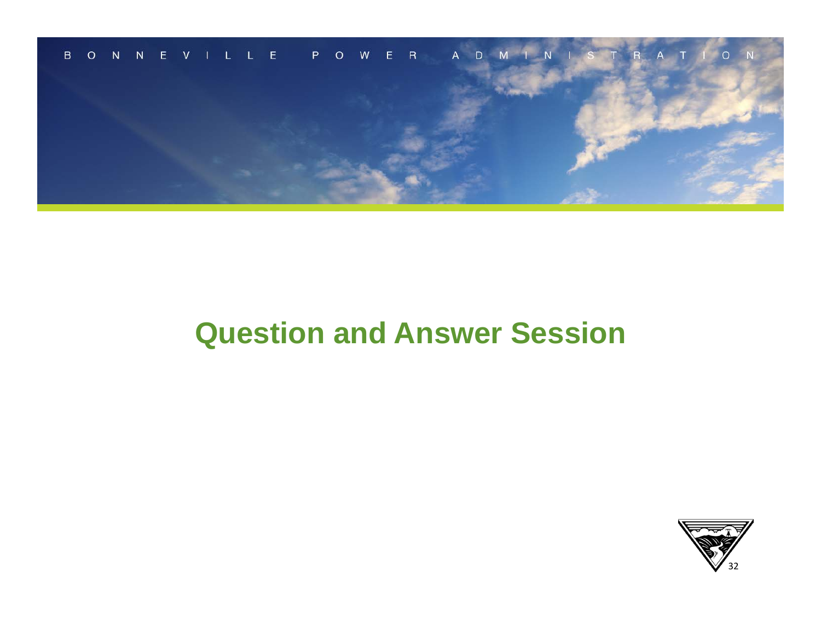

## **Question and Answer Session**

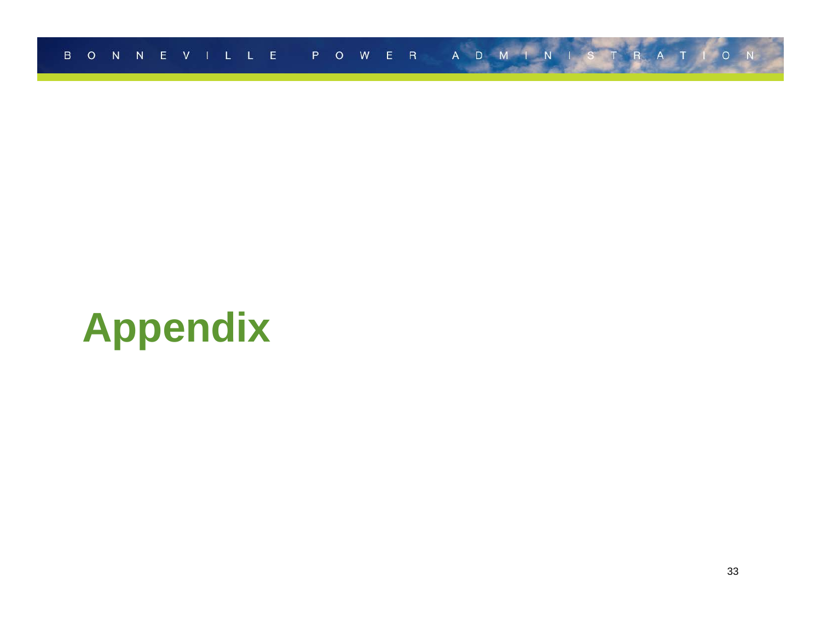

# **Appendix**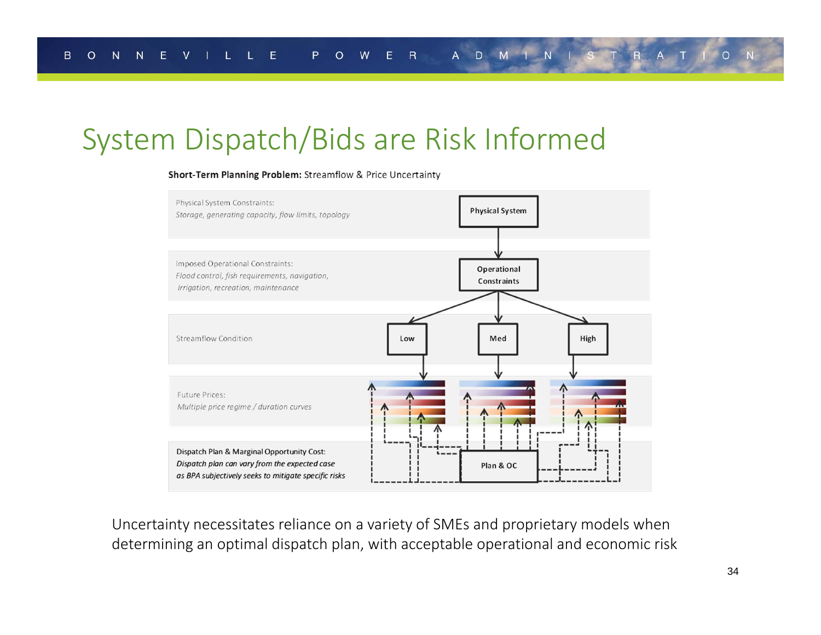### System Dispatch/Bids are Risk Informed

#### Short-Term Planning Problem: Streamflow & Price Uncertainty



Uncertainty necessitates reliance on a variety of SMEs and proprietary models when determining an optimal dispatch plan, with acceptable operational and economic risk